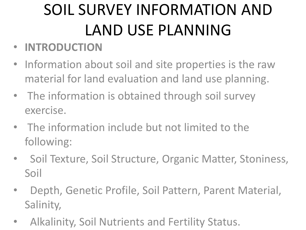## SOIL SURVEY INFORMATION AND LAND USE PLANNING

- **INTRODUCTION**
- Information about soil and site properties is the raw material for land evaluation and land use planning.
- The information is obtained through soil survey exercise.
- The information include but not limited to the following:
- Soil Texture, Soil Structure, Organic Matter, Stoniness, Soil
- Depth, Genetic Profile, Soil Pattern, Parent Material, Salinity,
- Alkalinity, Soil Nutrients and Fertility Status.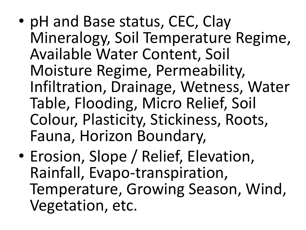- pH and Base status, CEC, Clay Mineralogy, Soil Temperature Regime, Available Water Content, Soil Moisture Regime, Permeability, Infiltration, Drainage, Wetness, Water Table, Flooding, Micro Relief, Soil Colour, Plasticity, Stickiness, Roots, Fauna, Horizon Boundary,
- Erosion, Slope / Relief, Elevation, Rainfall, Evapo-transpiration, Temperature, Growing Season, Wind, Vegetation, etc.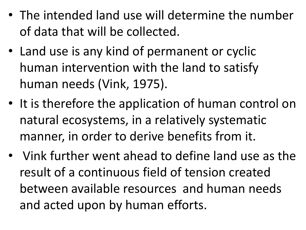- The intended land use will determine the number of data that will be collected.
- Land use is any kind of permanent or cyclic human intervention with the land to satisfy human needs (Vink, 1975).
- It is therefore the application of human control on natural ecosystems, in a relatively systematic manner, in order to derive benefits from it.
- Vink further went ahead to define land use as the result of a continuous field of tension created between available resources and human needs and acted upon by human efforts.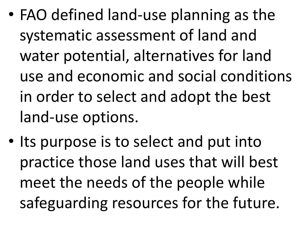- FAO defined land-use planning as the systematic assessment of land and water potential, alternatives for land use and economic and social conditions in order to select and adopt the best land-use options.
- Its purpose is to select and put into practice those land uses that will best meet the needs of the people while safeguarding resources for the future.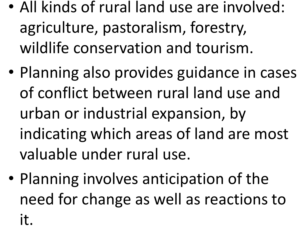- All kinds of rural land use are involved: agriculture, pastoralism, forestry, wildlife conservation and tourism.
- Planning also provides guidance in cases of conflict between rural land use and urban or industrial expansion, by indicating which areas of land are most valuable under rural use.
- Planning involves anticipation of the need for change as well as reactions to it.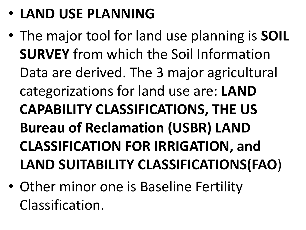- **LAND USE PLANNING**
- The major tool for land use planning is **SOIL SURVEY** from which the Soil Information Data are derived. The 3 major agricultural categorizations for land use are: **LAND CAPABILITY CLASSIFICATIONS, THE US Bureau of Reclamation (USBR) LAND CLASSIFICATION FOR IRRIGATION, and LAND SUITABILITY CLASSIFICATIONS(FAO**)
- Other minor one is Baseline Fertility Classification.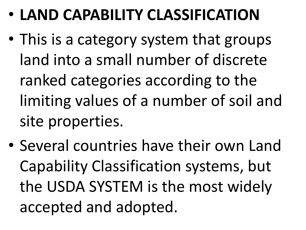- **LAND CAPABILITY CLASSIFICATION**
- This is a category system that groups land into a small number of discrete ranked categories according to the limiting values of a number of soil and site properties.
- Several countries have their own Land Capability Classification systems, but the USDA SYSTEM is the most widely accepted and adopted.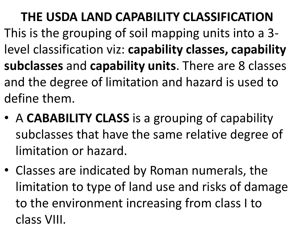**THE USDA LAND CAPABILITY CLASSIFICATION** This is the grouping of soil mapping units into a 3 level classification viz: **capability classes, capability subclasses** and **capability units**. There are 8 classes and the degree of limitation and hazard is used to define them.

- A **CABABILITY CLASS** is a grouping of capability subclasses that have the same relative degree of limitation or hazard.
- Classes are indicated by Roman numerals, the limitation to type of land use and risks of damage to the environment increasing from class I to class VIII.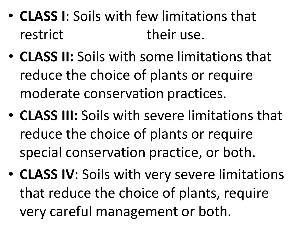- **CLASS I**: Soils with few limitations that restrict their use.
- **CLASS II:** Soils with some limitations that reduce the choice of plants or require moderate conservation practices.
- **CLASS III:** Soils with severe limitations that reduce the choice of plants or require special conservation practice, or both.
- **CLASS IV**: Soils with very severe limitations that reduce the choice of plants, require very careful management or both.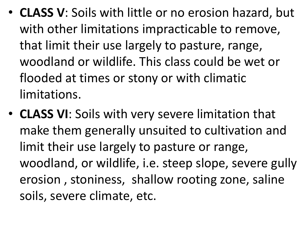- **CLASS V**: Soils with little or no erosion hazard, but with other limitations impracticable to remove, that limit their use largely to pasture, range, woodland or wildlife. This class could be wet or flooded at times or stony or with climatic limitations.
- **CLASS VI**: Soils with very severe limitation that make them generally unsuited to cultivation and limit their use largely to pasture or range, woodland, or wildlife, i.e. steep slope, severe gully erosion , stoniness, shallow rooting zone, saline soils, severe climate, etc.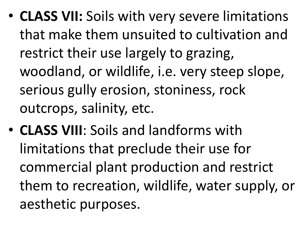- **CLASS VII:** Soils with very severe limitations that make them unsuited to cultivation and restrict their use largely to grazing, woodland, or wildlife, i.e. very steep slope, serious gully erosion, stoniness, rock outcrops, salinity, etc.
- **CLASS VIII**: Soils and landforms with limitations that preclude their use for commercial plant production and restrict them to recreation, wildlife, water supply, or aesthetic purposes.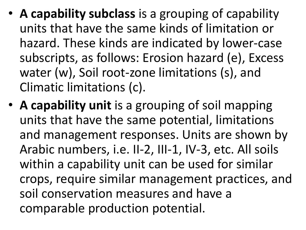- **A capability subclass** is a grouping of capability units that have the same kinds of limitation or hazard. These kinds are indicated by lower-case subscripts, as follows: Erosion hazard (e), Excess water (w), Soil root-zone limitations (s), and Climatic limitations (c).
- **A capability unit** is a grouping of soil mapping units that have the same potential, limitations and management responses. Units are shown by Arabic numbers, i.e. II-2, III-1, IV-3, etc. All soils within a capability unit can be used for similar crops, require similar management practices, and soil conservation measures and have a comparable production potential.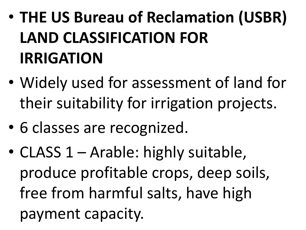## • **THE US Bureau of Reclamation (USBR) LAND CLASSIFICATION FOR IRRIGATION**

- Widely used for assessment of land for their suitability for irrigation projects.
- 6 classes are recognized.
- CLASS 1 Arable: highly suitable, produce profitable crops, deep soils, free from harmful salts, have high payment capacity.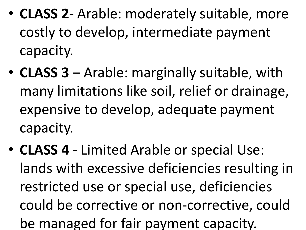- **CLASS 2** Arable: moderately suitable, more costly to develop, intermediate payment capacity.
- **CLASS 3**  Arable: marginally suitable, with many limitations like soil, relief or drainage, expensive to develop, adequate payment capacity.
- **CLASS 4** Limited Arable or special Use: lands with excessive deficiencies resulting in restricted use or special use, deficiencies could be corrective or non-corrective, could be managed for fair payment capacity.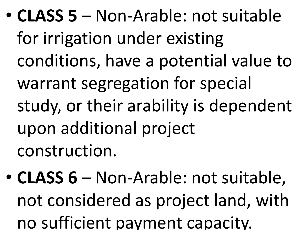- **CLASS 5** Non-Arable: not suitable for irrigation under existing conditions, have a potential value to warrant segregation for special study, or their arability is dependent upon additional project construction.
- **CLASS 6** Non-Arable: not suitable, not considered as project land, with no sufficient payment capacity.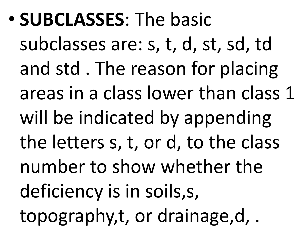• **SUBCLASSES**: The basic

subclasses are: s, t, d, st, sd, td and std . The reason for placing areas in a class lower than class 1 will be indicated by appending the letters s, t, or d, to the class number to show whether the deficiency is in soils,s, topography,t, or drainage,d, .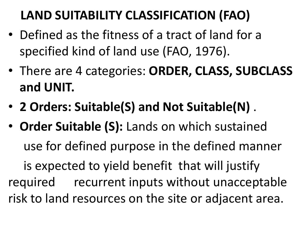## **LAND SUITABILITY CLASSIFICATION (FAO)**

- Defined as the fitness of a tract of land for a specified kind of land use (FAO, 1976).
- There are 4 categories: **ORDER, CLASS, SUBCLASS and UNIT.**
- **2 Orders: Suitable(S) and Not Suitable(N)** .
- **Order Suitable (S):** Lands on which sustained use for defined purpose in the defined manner is expected to yield benefit that will justify required recurrent inputs without unacceptable risk to land resources on the site or adjacent area.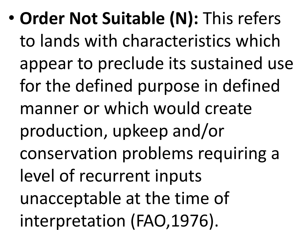• **Order Not Suitable (N):** This refers to lands with characteristics which appear to preclude its sustained use for the defined purpose in defined manner or which would create production, upkeep and/or conservation problems requiring a level of recurrent inputs unacceptable at the time of interpretation (FAO,1976).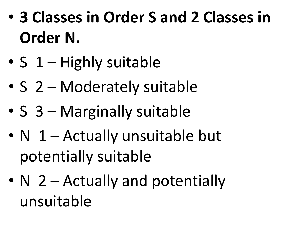- **3 Classes in Order S and 2 Classes in Order N.**
- S 1 Highly suitable
- S 2 Moderately suitable
- S 3 Marginally suitable
- N 1 Actually unsuitable but potentially suitable
- N 2 Actually and potentially unsuitable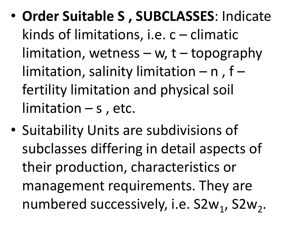- **Order Suitable S , SUBCLASSES**: Indicate kinds of limitations, i.e. c – climatic limitation, wetness  $-$  w, t  $-$  topography limitation, salinity limitation  $-$  n, f  $$ fertility limitation and physical soil  $limitation - s$ , etc.
- Suitability Units are subdivisions of subclasses differing in detail aspects of their production, characteristics or management requirements. They are numbered successively, i.e. S2w<sub>1</sub>, S2w<sub>2</sub>.